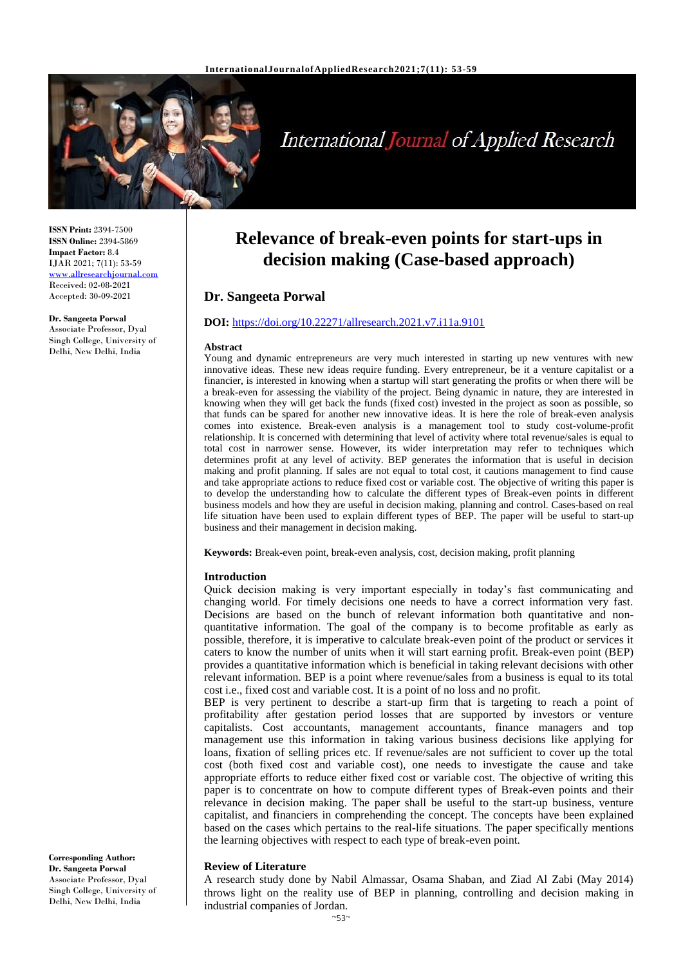

# **International Journal of Applied Research**

**ISSN Print:** 2394-7500 **ISSN Online:** 2394-5869 **Impact Factor:** 8.4 IJAR 2021; 7(11): 53-59 [www.allresearchjournal.com](http://www.allresearchjournal.com/) Received: 02-08-2021 Accepted: 30-09-2021

#### **Dr. Sangeeta Porwal**

Associate Professor, Dyal Singh College, University of Delhi, New Delhi, India

# **Relevance of break-even points for start-ups in decision making (Case-based approach)**

# **Dr. Sangeeta Porwal**

#### **DOI:** <https://doi.org/10.22271/allresearch.2021.v7.i11a.9101>

#### **Abstract**

Young and dynamic entrepreneurs are very much interested in starting up new ventures with new innovative ideas. These new ideas require funding. Every entrepreneur, be it a venture capitalist or a financier, is interested in knowing when a startup will start generating the profits or when there will be a break-even for assessing the viability of the project. Being dynamic in nature, they are interested in knowing when they will get back the funds (fixed cost) invested in the project as soon as possible, so that funds can be spared for another new innovative ideas. It is here the role of break-even analysis comes into existence. Break-even analysis is a management tool to study cost-volume-profit relationship. It is concerned with determining that level of activity where total revenue/sales is equal to total cost in narrower sense. However, its wider interpretation may refer to techniques which determines profit at any level of activity. BEP generates the information that is useful in decision making and profit planning. If sales are not equal to total cost, it cautions management to find cause and take appropriate actions to reduce fixed cost or variable cost. The objective of writing this paper is to develop the understanding how to calculate the different types of Break-even points in different business models and how they are useful in decision making, planning and control. Cases-based on real life situation have been used to explain different types of BEP. The paper will be useful to start-up business and their management in decision making.

**Keywords:** Break-even point, break-even analysis, cost, decision making, profit planning

#### **Introduction**

Quick decision making is very important especially in today's fast communicating and changing world. For timely decisions one needs to have a correct information very fast. Decisions are based on the bunch of relevant information both quantitative and nonquantitative information. The goal of the company is to become profitable as early as possible, therefore, it is imperative to calculate break-even point of the product or services it caters to know the number of units when it will start earning profit. Break-even point (BEP) provides a quantitative information which is beneficial in taking relevant decisions with other relevant information. BEP is a point where revenue/sales from a business is equal to its total cost i.e., fixed cost and variable cost. It is a point of no loss and no profit.

BEP is very pertinent to describe a start-up firm that is targeting to reach a point of profitability after gestation period losses that are supported by investors or venture capitalists. Cost accountants, management accountants, finance managers and top management use this information in taking various business decisions like applying for loans, fixation of selling prices etc. If revenue/sales are not sufficient to cover up the total cost (both fixed cost and variable cost), one needs to investigate the cause and take appropriate efforts to reduce either fixed cost or variable cost. The objective of writing this paper is to concentrate on how to compute different types of Break-even points and their relevance in decision making. The paper shall be useful to the start-up business, venture capitalist, and financiers in comprehending the concept. The concepts have been explained based on the cases which pertains to the real-life situations. The paper specifically mentions the learning objectives with respect to each type of break-even point.

#### **Review of Literature**

A research study done by Nabil Almassar, Osama Shaban, and Ziad Al Zabi (May 2014) throws light on the reality use of BEP in planning, controlling and decision making in industrial companies of Jordan.

**Corresponding Author: Dr. Sangeeta Porwal** Associate Professor, Dyal Singh College, University of Delhi, New Delhi, India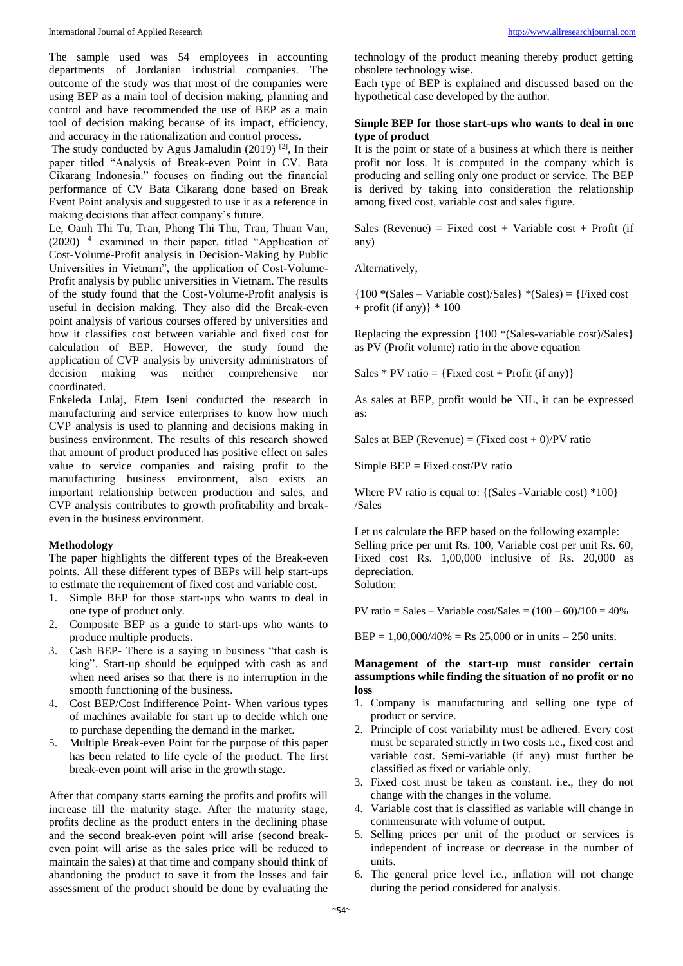The sample used was 54 employees in accounting departments of Jordanian industrial companies. The outcome of the study was that most of the companies were using BEP as a main tool of decision making, planning and control and have recommended the use of BEP as a main tool of decision making because of its impact, efficiency, and accuracy in the rationalization and control process.

The study conducted by Agus Jamaludin (2019) <sup>[2]</sup>, In their paper titled "Analysis of Break-even Point in CV. Bata Cikarang Indonesia." focuses on finding out the financial performance of CV Bata Cikarang done based on Break Event Point analysis and suggested to use it as a reference in making decisions that affect company's future.

Le, Oanh Thi Tu, Tran, Phong Thi Thu, Tran, Thuan Van, (2020) [4] examined in their paper, titled "Application of Cost-Volume-Profit analysis in Decision-Making by Public Universities in Vietnam", the application of Cost-Volume-Profit analysis by public universities in Vietnam. The results of the study found that the Cost-Volume-Profit analysis is useful in decision making. They also did the Break-even point analysis of various courses offered by universities and how it classifies cost between variable and fixed cost for calculation of BEP. However, the study found the application of CVP analysis by university administrators of decision making was neither comprehensive nor coordinated.

Enkeleda Lulaj, Etem Iseni conducted the research in manufacturing and service enterprises to know how much CVP analysis is used to planning and decisions making in business environment. The results of this research showed that amount of product produced has positive effect on sales value to service companies and raising profit to the manufacturing business environment, also exists an important relationship between production and sales, and CVP analysis contributes to growth profitability and breakeven in the business environment.

# **Methodology**

The paper highlights the different types of the Break-even points. All these different types of BEPs will help start-ups to estimate the requirement of fixed cost and variable cost.

- 1. Simple BEP for those start-ups who wants to deal in one type of product only.
- 2. Composite BEP as a guide to start-ups who wants to produce multiple products.
- 3. Cash BEP- There is a saying in business "that cash is king". Start-up should be equipped with cash as and when need arises so that there is no interruption in the smooth functioning of the business.
- 4. Cost BEP/Cost Indifference Point- When various types of machines available for start up to decide which one to purchase depending the demand in the market.
- 5. Multiple Break-even Point for the purpose of this paper has been related to life cycle of the product. The first break-even point will arise in the growth stage.

After that company starts earning the profits and profits will increase till the maturity stage. After the maturity stage, profits decline as the product enters in the declining phase and the second break-even point will arise (second breakeven point will arise as the sales price will be reduced to maintain the sales) at that time and company should think of abandoning the product to save it from the losses and fair assessment of the product should be done by evaluating the technology of the product meaning thereby product getting obsolete technology wise.

Each type of BEP is explained and discussed based on the hypothetical case developed by the author.

# **Simple BEP for those start-ups who wants to deal in one type of product**

It is the point or state of a business at which there is neither profit nor loss. It is computed in the company which is producing and selling only one product or service. The BEP is derived by taking into consideration the relationship among fixed cost, variable cost and sales figure.

Sales (Revenue) = Fixed cost + Variable cost + Profit (if any)

Alternatively,

 ${100 * (Sales - Variable cost)/Sales} * (Sales) = {Fixed cost}$  $+$  profit (if any)}  $*$  100

Replacing the expression {100 \*(Sales-variable cost)/Sales} as PV (Profit volume) ratio in the above equation

Sales  $*$  PV ratio = {Fixed cost + Profit (if any)}

As sales at BEP, profit would be NIL, it can be expressed as:

Sales at BEP (Revenue) = (Fixed cost  $+ 0$ )/PV ratio

Simple BEP = Fixed cost/PV ratio

Where PV ratio is equal to: {(Sales -Variable cost) \*100} /Sales

Let us calculate the BEP based on the following example: Selling price per unit Rs. 100, Variable cost per unit Rs. 60, Fixed cost Rs. 1,00,000 inclusive of Rs. 20,000 as depreciation. Solution:

PV ratio = Sales – Variable cost/Sales =  $(100 - 60)/100 = 40%$ 

 $BEP = 1,00,000/40\% = \text{Rs } 25,000 \text{ or in units } -250 \text{ units.}$ 

#### **Management of the start-up must consider certain assumptions while finding the situation of no profit or no loss**

- 1. Company is manufacturing and selling one type of product or service.
- 2. Principle of cost variability must be adhered. Every cost must be separated strictly in two costs i.e., fixed cost and variable cost. Semi-variable (if any) must further be classified as fixed or variable only.
- 3. Fixed cost must be taken as constant. i.e., they do not change with the changes in the volume.
- 4. Variable cost that is classified as variable will change in commensurate with volume of output.
- 5. Selling prices per unit of the product or services is independent of increase or decrease in the number of units.
- 6. The general price level i.e., inflation will not change during the period considered for analysis.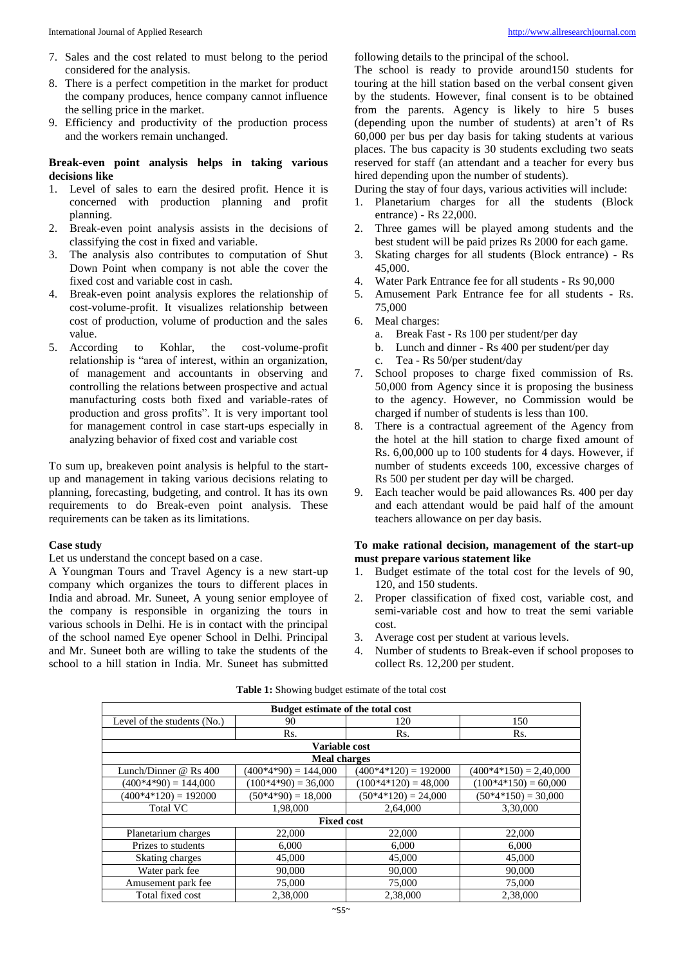- 7. Sales and the cost related to must belong to the period considered for the analysis.
- 8. There is a perfect competition in the market for product the company produces, hence company cannot influence the selling price in the market.
- 9. Efficiency and productivity of the production process and the workers remain unchanged.

# **Break-even point analysis helps in taking various decisions like**

- 1. Level of sales to earn the desired profit. Hence it is concerned with production planning and profit planning.
- 2. Break-even point analysis assists in the decisions of classifying the cost in fixed and variable.
- 3. The analysis also contributes to computation of Shut Down Point when company is not able the cover the fixed cost and variable cost in cash.
- 4. Break-even point analysis explores the relationship of cost-volume-profit. It visualizes relationship between cost of production, volume of production and the sales value.
- 5. According to Kohlar, the cost-volume-profit relationship is "area of interest, within an organization, of management and accountants in observing and controlling the relations between prospective and actual manufacturing costs both fixed and variable-rates of production and gross profits". It is very important tool for management control in case start-ups especially in analyzing behavior of fixed cost and variable cost

To sum up, breakeven point analysis is helpful to the startup and management in taking various decisions relating to planning, forecasting, budgeting, and control. It has its own requirements to do Break-even point analysis. These requirements can be taken as its limitations.

# **Case study**

Let us understand the concept based on a case.

A Youngman Tours and Travel Agency is a new start-up company which organizes the tours to different places in India and abroad. Mr. Suneet, A young senior employee of the company is responsible in organizing the tours in various schools in Delhi. He is in contact with the principal of the school named Eye opener School in Delhi. Principal and Mr. Suneet both are willing to take the students of the school to a hill station in India. Mr. Suneet has submitted

following details to the principal of the school.

The school is ready to provide around150 students for touring at the hill station based on the verbal consent given by the students. However, final consent is to be obtained from the parents. Agency is likely to hire 5 buses (depending upon the number of students) at aren't of Rs 60,000 per bus per day basis for taking students at various places. The bus capacity is 30 students excluding two seats reserved for staff (an attendant and a teacher for every bus hired depending upon the number of students).

During the stay of four days, various activities will include:

- 1. Planetarium charges for all the students (Block entrance) - Rs 22,000.
- 2. Three games will be played among students and the best student will be paid prizes Rs 2000 for each game.
- 3. Skating charges for all students (Block entrance) Rs 45,000.
- 4. Water Park Entrance fee for all students Rs 90,000
- 5. Amusement Park Entrance fee for all students Rs. 75,000
- 6. Meal charges:
	- a. Break Fast Rs 100 per student/per day
	- b. Lunch and dinner Rs 400 per student/per day
	- c. Tea Rs 50/per student/day
- 7. School proposes to charge fixed commission of Rs. 50,000 from Agency since it is proposing the business to the agency. However, no Commission would be charged if number of students is less than 100.
- 8. There is a contractual agreement of the Agency from the hotel at the hill station to charge fixed amount of Rs. 6,00,000 up to 100 students for 4 days. However, if number of students exceeds 100, excessive charges of Rs 500 per student per day will be charged.
- 9. Each teacher would be paid allowances Rs. 400 per day and each attendant would be paid half of the amount teachers allowance on per day basis.

# **To make rational decision, management of the start-up must prepare various statement like**

- 1. Budget estimate of the total cost for the levels of 90, 120, and 150 students.
- 2. Proper classification of fixed cost, variable cost, and semi-variable cost and how to treat the semi variable cost.
- 3. Average cost per student at various levels.
- Number of students to Break-even if school proposes to collect Rs. 12,200 per student.

| <b>Budget estimate of the total cost</b> |                        |                        |                          |  |
|------------------------------------------|------------------------|------------------------|--------------------------|--|
| Level of the students (No.)              | 150                    |                        |                          |  |
|                                          | Rs.                    | Rs.                    | Rs.                      |  |
|                                          | Variable cost          |                        |                          |  |
|                                          | <b>Meal charges</b>    |                        |                          |  |
| Lunch/Dinner $@$ Rs 400                  | $(400*4*90) = 144,000$ | $(400*4*120) = 192000$ | $(400*4*150) = 2,40,000$ |  |
| $(400*4*90) = 144,000$                   | $(100*4*90) = 36,000$  | $(100*4*120) = 48,000$ | $(100*4*150) = 60,000$   |  |
| $(400*4*120) = 192000$                   | $(50*4*90) = 18,000$   | $(50*4*120) = 24,000$  | $(50*4*150) = 30,000$    |  |
| Total VC                                 | 1,98,000               | 2,64,000               | 3.30.000                 |  |
|                                          | <b>Fixed cost</b>      |                        |                          |  |
| Planetarium charges                      | 22,000                 | 22,000                 | 22,000                   |  |
| Prizes to students                       | 6.000                  | 6.000                  | 6.000                    |  |
| Skating charges                          | 45,000                 | 45,000                 | 45,000                   |  |
| Water park fee                           | 90,000                 | 90,000                 | 90,000                   |  |
| Amusement park fee                       | 75,000                 | 75,000                 | 75,000                   |  |
| Total fixed cost                         | 2,38,000               | 2.38,000               | 2.38,000                 |  |

| <b>Table 1:</b> Showing budget estimate of the total cost |  |
|-----------------------------------------------------------|--|
|-----------------------------------------------------------|--|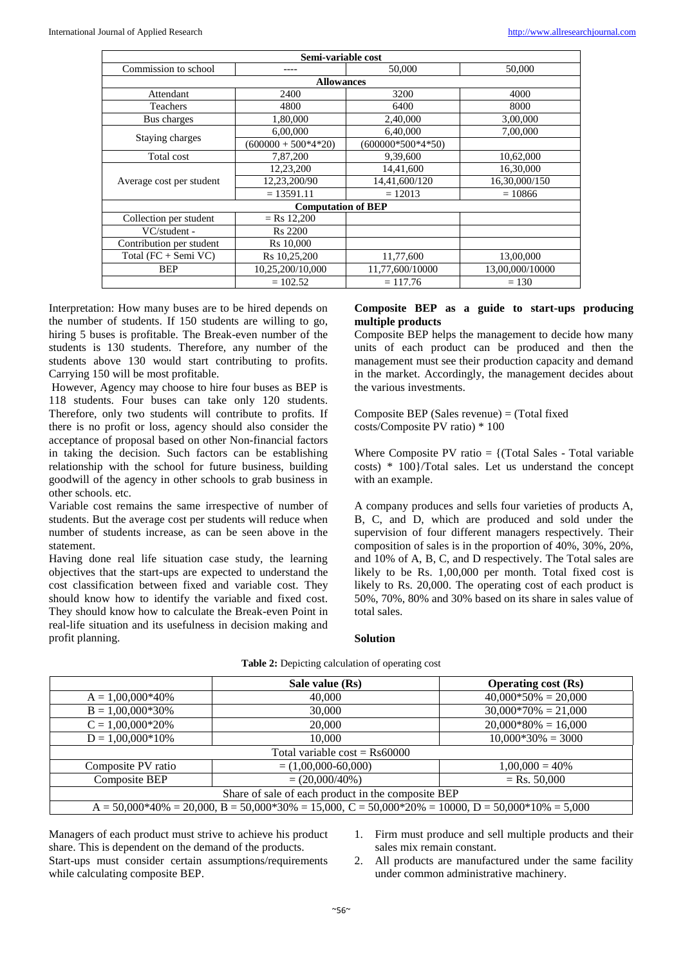| Semi-variable cost                       |                           |                     |                 |  |  |  |  |
|------------------------------------------|---------------------------|---------------------|-----------------|--|--|--|--|
| Commission to school<br>50,000<br>50,000 |                           |                     |                 |  |  |  |  |
|                                          | <b>Allowances</b>         |                     |                 |  |  |  |  |
| Attendant                                | 2400                      | 3200                | 4000            |  |  |  |  |
| Teachers                                 | 4800                      | 6400                | 8000            |  |  |  |  |
| Bus charges                              | 1,80,000                  | 2,40,000            | 3,00,000        |  |  |  |  |
|                                          | 6,00,000                  | 6,40,000            | 7,00,000        |  |  |  |  |
| Staying charges                          | $(600000 + 500*4*20)$     | $(600000*500*4*50)$ |                 |  |  |  |  |
| Total cost                               | 7,87,200                  | 9,39,600            | 10,62,000       |  |  |  |  |
|                                          | 12,23,200                 | 14,41,600           | 16,30,000       |  |  |  |  |
| Average cost per student                 | 12,23,200/90              | 14,41,600/120       | 16,30,000/150   |  |  |  |  |
|                                          | $= 13591.11$              | $= 12013$           | $= 10866$       |  |  |  |  |
|                                          | <b>Computation of BEP</b> |                     |                 |  |  |  |  |
| Collection per student                   | $=$ Rs 12,200             |                     |                 |  |  |  |  |
| VC/student -                             | <b>Rs</b> 2200            |                     |                 |  |  |  |  |
| Contribution per student                 | R <sub>s</sub> 10,000     |                     |                 |  |  |  |  |
| Total (FC + Semi VC)                     | Rs 10,25,200              | 11,77,600           | 13,00,000       |  |  |  |  |
| <b>BEP</b>                               | 10,25,200/10,000          | 11,77,600/10000     | 13,00,000/10000 |  |  |  |  |
| $= 102.52$<br>$= 117.76$<br>$= 130$      |                           |                     |                 |  |  |  |  |

Interpretation: How many buses are to be hired depends on the number of students. If 150 students are willing to go, hiring 5 buses is profitable. The Break-even number of the students is 130 students. Therefore, any number of the students above 130 would start contributing to profits. Carrying 150 will be most profitable.

However, Agency may choose to hire four buses as BEP is 118 students. Four buses can take only 120 students. Therefore, only two students will contribute to profits. If there is no profit or loss, agency should also consider the acceptance of proposal based on other Non-financial factors in taking the decision. Such factors can be establishing relationship with the school for future business, building goodwill of the agency in other schools to grab business in other schools. etc.

Variable cost remains the same irrespective of number of students. But the average cost per students will reduce when number of students increase, as can be seen above in the statement.

Having done real life situation case study, the learning objectives that the start-ups are expected to understand the cost classification between fixed and variable cost. They should know how to identify the variable and fixed cost. They should know how to calculate the Break-even Point in real-life situation and its usefulness in decision making and profit planning.

# **Composite BEP as a guide to start-ups producing multiple products**

Composite BEP helps the management to decide how many units of each product can be produced and then the management must see their production capacity and demand in the market. Accordingly, the management decides about the various investments.

Composite BEP (Sales revenue) = (Total fixed costs/Composite PV ratio) \* 100

Where Composite PV ratio  $= \{$  (Total Sales - Total variable costs) \* 100}/Total sales. Let us understand the concept with an example.

A company produces and sells four varieties of products A, B, C, and D, which are produced and sold under the supervision of four different managers respectively. Their composition of sales is in the proportion of 40%, 30%, 20%, and 10% of A, B, C, and D respectively. The Total sales are likely to be Rs. 1,00,000 per month. Total fixed cost is likely to Rs. 20,000. The operating cost of each product is 50%, 70%, 80% and 30% based on its share in sales value of total sales.

|                                                    | Sale value (Rs)                                                                                                 | <b>Operating cost (Rs)</b> |  |  |
|----------------------------------------------------|-----------------------------------------------------------------------------------------------------------------|----------------------------|--|--|
| $A = 1,00,000*40%$                                 | 40,000                                                                                                          | $40,000*50\% = 20,000$     |  |  |
| $B = 1,00,000*30%$                                 | 30,000                                                                                                          | $30,000*70% = 21,000$      |  |  |
| $C = 1,00,000*20%$                                 | 20,000                                                                                                          | $20,000*80% = 16,000$      |  |  |
| $D = 1.00,000*10%$                                 | 10,000                                                                                                          | $10.000*30\% = 3000$       |  |  |
| Total variable $\cos t = \text{Rs } 60000$         |                                                                                                                 |                            |  |  |
| Composite PV ratio                                 | $= (1,00,000-60,000)$                                                                                           | $1,00,000 = 40\%$          |  |  |
| Composite BEP                                      | $= (20,000/40%)$                                                                                                | $=$ Rs. 50,000             |  |  |
| Share of sale of each product in the composite BEP |                                                                                                                 |                            |  |  |
|                                                    | $A = 50,000*40\% = 20,000$ , $B = 50,000*30\% = 15,000$ , $C = 50,000*20\% = 10000$ , $D = 50,000*10\% = 5,000$ |                            |  |  |

#### **Table 2:** Depicting calculation of operating cost

**Solution**

Managers of each product must strive to achieve his product share. This is dependent on the demand of the products. Start-ups must consider certain assumptions/requirements while calculating composite BEP.

1. Firm must produce and sell multiple products and their sales mix remain constant.

2. All products are manufactured under the same facility under common administrative machinery.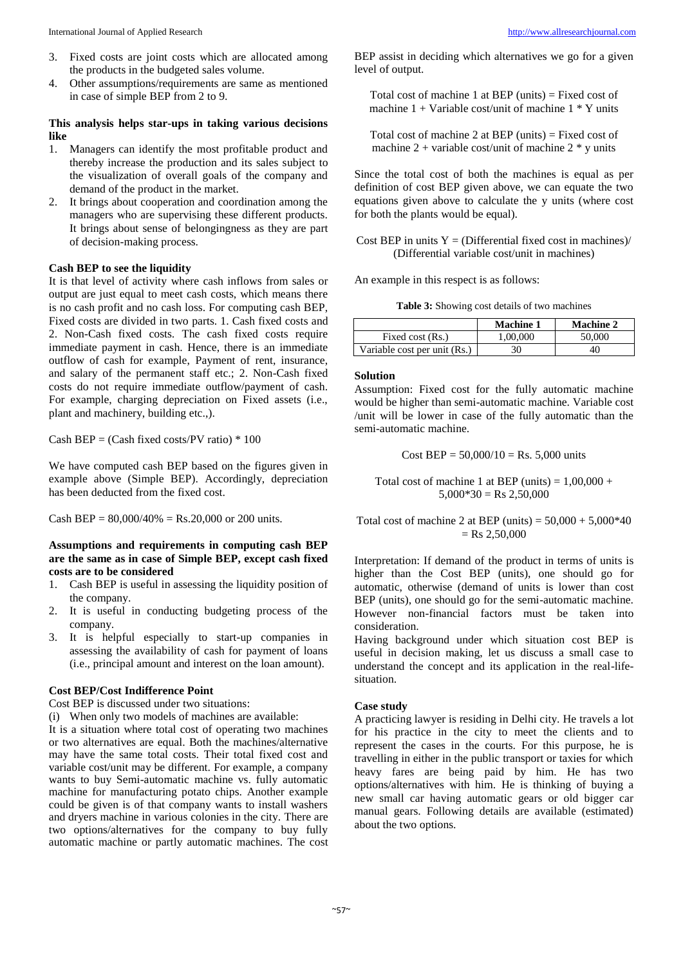- 3. Fixed costs are joint costs which are allocated among the products in the budgeted sales volume.
- 4. Other assumptions/requirements are same as mentioned in case of simple BEP from 2 to 9.

# **This analysis helps star-ups in taking various decisions like**

- 1. Managers can identify the most profitable product and thereby increase the production and its sales subject to the visualization of overall goals of the company and demand of the product in the market.
- 2. It brings about cooperation and coordination among the managers who are supervising these different products. It brings about sense of belongingness as they are part of decision-making process.

#### **Cash BEP to see the liquidity**

It is that level of activity where cash inflows from sales or output are just equal to meet cash costs, which means there is no cash profit and no cash loss. For computing cash BEP, Fixed costs are divided in two parts. 1. Cash fixed costs and 2. Non-Cash fixed costs. The cash fixed costs require immediate payment in cash. Hence, there is an immediate outflow of cash for example, Payment of rent, insurance, and salary of the permanent staff etc.; 2. Non-Cash fixed costs do not require immediate outflow/payment of cash. For example, charging depreciation on Fixed assets (i.e., plant and machinery, building etc.,).

Cash BEP =  $(Cash fixed costs/PV ratio) * 100$ 

We have computed cash BEP based on the figures given in example above (Simple BEP). Accordingly, depreciation has been deducted from the fixed cost.

Cash BEP =  $80,000/40\%$  = Rs.20,000 or 200 units.

**Assumptions and requirements in computing cash BEP are the same as in case of Simple BEP, except cash fixed costs are to be considered**

- 1. Cash BEP is useful in assessing the liquidity position of the company.
- 2. It is useful in conducting budgeting process of the company.
- 3. It is helpful especially to start-up companies in assessing the availability of cash for payment of loans (i.e., principal amount and interest on the loan amount).

#### **Cost BEP/Cost Indifference Point**

Cost BEP is discussed under two situations:

(i) When only two models of machines are available:

It is a situation where total cost of operating two machines or two alternatives are equal. Both the machines/alternative may have the same total costs. Their total fixed cost and variable cost/unit may be different. For example, a company wants to buy Semi-automatic machine vs. fully automatic machine for manufacturing potato chips. Another example could be given is of that company wants to install washers and dryers machine in various colonies in the city. There are two options/alternatives for the company to buy fully automatic machine or partly automatic machines. The cost

BEP assist in deciding which alternatives we go for a given level of output.

Total cost of machine 1 at BEP (units) = Fixed cost of machine  $1 + \text{Variable cost}$  (unit of machine  $1 * \text{Y}$  units

Total cost of machine 2 at BEP (units) = Fixed cost of machine 2 + variable cost/unit of machine 2  $*$  v units

Since the total cost of both the machines is equal as per definition of cost BEP given above, we can equate the two equations given above to calculate the y units (where cost for both the plants would be equal).

Cost BEP in units  $Y = (Differential fixed cost in machines)$ (Differential variable cost/unit in machines)

An example in this respect is as follows:

|  |  | <b>Table 3:</b> Showing cost details of two machines |  |  |
|--|--|------------------------------------------------------|--|--|
|--|--|------------------------------------------------------|--|--|

|                              | <b>Machine 1</b> | <b>Machine 2</b> |
|------------------------------|------------------|------------------|
| Fixed cost (Rs.)             | 1.00.000         | 50,000           |
| Variable cost per unit (Rs.) | 30               | 40               |

#### **Solution**

Assumption: Fixed cost for the fully automatic machine would be higher than semi-automatic machine. Variable cost /unit will be lower in case of the fully automatic than the semi-automatic machine.

Cost BEP =  $50,000/10$  = Rs.  $5,000$  units

Total cost of machine 1 at BEP (units) =  $1,00,000 +$  $5,000*30 =$ Rs 2,50,000

Total cost of machine 2 at BEP (units) =  $50,000 + 5,000*40$  $=$  Rs 2,50,000

Interpretation: If demand of the product in terms of units is higher than the Cost BEP (units), one should go for automatic, otherwise (demand of units is lower than cost BEP (units), one should go for the semi-automatic machine. However non-financial factors must be taken into consideration.

Having background under which situation cost BEP is useful in decision making, let us discuss a small case to understand the concept and its application in the real-lifesituation.

#### **Case study**

A practicing lawyer is residing in Delhi city. He travels a lot for his practice in the city to meet the clients and to represent the cases in the courts. For this purpose, he is travelling in either in the public transport or taxies for which heavy fares are being paid by him. He has two options/alternatives with him. He is thinking of buying a new small car having automatic gears or old bigger car manual gears. Following details are available (estimated) about the two options.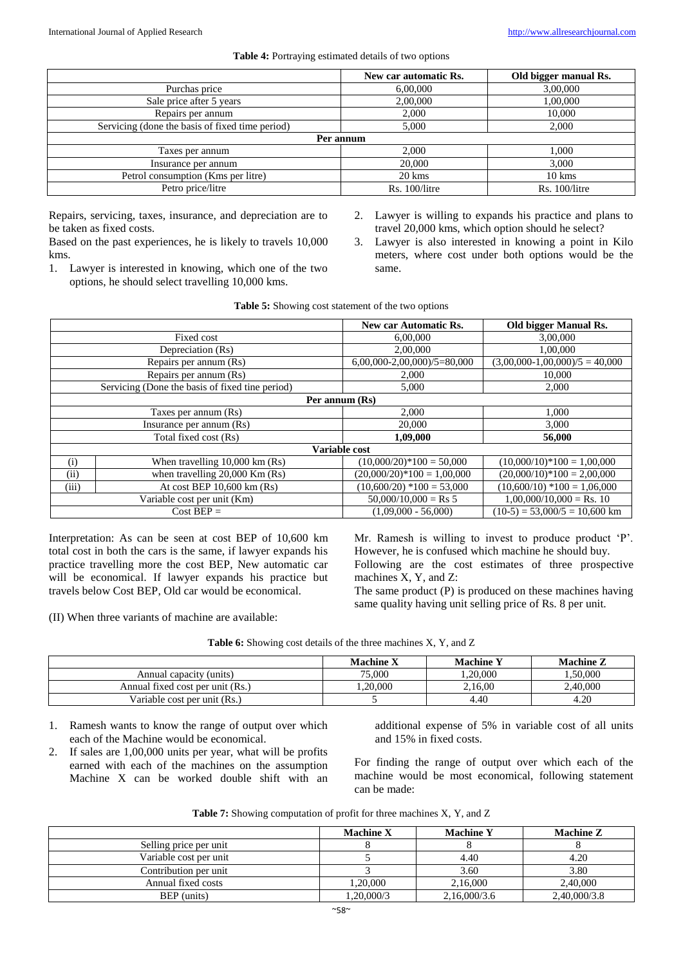|                                                 | New car automatic Rs. | Old bigger manual Rs. |
|-------------------------------------------------|-----------------------|-----------------------|
| Purchas price                                   | 6,00,000              | 3,00,000              |
| Sale price after 5 years                        | 2,00,000              | 1,00,000              |
| Repairs per annum                               | 2.000                 | 10,000                |
| Servicing (done the basis of fixed time period) | 5,000                 | 2,000                 |
|                                                 | Per annum             |                       |
| Taxes per annum                                 | 2,000                 | 1,000                 |
| Insurance per annum                             | 20,000                | 3,000                 |
| Petrol consumption (Kms per litre)              | 20 kms                | $10 \text{ km}$ s     |
| Petro price/litre                               | $Rs. 100/l$ itre      | Rs. 100/litre         |

Repairs, servicing, taxes, insurance, and depreciation are to be taken as fixed costs.

Based on the past experiences, he is likely to travels 10,000 kms.

1. Lawyer is interested in knowing, which one of the two options, he should select travelling 10,000 kms.

- 2. Lawyer is willing to expands his practice and plans to travel 20,000 kms, which option should he select?
- 3. Lawyer is also interested in knowing a point in Kilo meters, where cost under both options would be the same.

|       |                                                 | New car Automatic Rs.         | <b>Old bigger Manual Rs.</b>     |
|-------|-------------------------------------------------|-------------------------------|----------------------------------|
|       | Fixed cost                                      | 6,00,000                      | 3,00,000                         |
|       | Depreciation (Rs)                               | 2,00,000                      | 1,00,000                         |
|       | Repairs per annum (Rs)                          | $6,00,000-2,00,000)/5=80,000$ | $(3,00,000-1,00,000)/5 = 40,000$ |
|       | Repairs per annum (Rs)                          | 2,000                         | 10,000                           |
|       | Servicing (Done the basis of fixed tine period) | 5,000                         | 2,000                            |
|       |                                                 | Per annum (Rs)                |                                  |
|       | Taxes per annum (Rs)                            | 2,000                         | 1,000                            |
|       | Insurance per annum (Rs)                        | 20,000                        | 3.000                            |
|       | Total fixed cost (Rs)                           | 1,09,000                      | 56,000                           |
|       |                                                 | Variable cost                 |                                  |
| (i)   | When travelling $10,000 \text{ km}$ (Rs)        | $(10,000/20)*100 = 50,000$    | $(10,000/10)*100 = 1,00,000$     |
| (ii)  | when travelling $20,000$ Km (Rs)                | $(20,000/20)*100 = 1,00,000$  | $(20,000/10)*100 = 2,00,000$     |
| (iii) | At cost BEP $10,600 \text{ km}$ (Rs)            | $(10,600/20)$ *100 = 53,000   | $(10,600/10)$ *100 = 1,06,000    |
|       | Variable cost per unit (Km)                     | $50,000/10,000 =$ Rs 5        | $1,00,000/10,000 =$ Rs. 10       |
|       | $Cost BEP =$                                    | $(1,09,000 - 56,000)$         | $(10-5) = 53,000/5 = 10,600$ km  |

**Table 5:** Showing cost statement of the two options

Interpretation: As can be seen at cost BEP of 10,600 km total cost in both the cars is the same, if lawyer expands his practice travelling more the cost BEP, New automatic car will be economical. If lawyer expands his practice but travels below Cost BEP, Old car would be economical.

(II) When three variants of machine are available:

Mr. Ramesh is willing to invest to produce product 'P'. However, he is confused which machine he should buy. Following are the cost estimates of three prospective machines X, Y, and Z:

The same product (P) is produced on these machines having same quality having unit selling price of Rs. 8 per unit.

|  | <b>Table 6:</b> Showing cost details of the three machines X, Y, and Z |
|--|------------------------------------------------------------------------|
|  |                                                                        |

|                                  | <b>Machine X</b> | <b>Machine Y</b> | <b>Machine Z</b> |
|----------------------------------|------------------|------------------|------------------|
| Annual capacity (units)          | 75,000           | .20.000          | .50,000          |
| Annual fixed cost per unit (Rs.) | .20,000          | 2.16.00          | 2.40.000         |
| Variable cost per unit (Rs.)     |                  | 4.40             | 4.20             |

1. Ramesh wants to know the range of output over which each of the Machine would be economical.

2. If sales are 1,00,000 units per year, what will be profits earned with each of the machines on the assumption Machine X can be worked double shift with an additional expense of 5% in variable cost of all units and 15% in fixed costs.

For finding the range of output over which each of the machine would be most economical, following statement can be made:

|  | Table 7: Showing computation of profit for three machines X, Y, and Z |  |  |  |  |
|--|-----------------------------------------------------------------------|--|--|--|--|
|--|-----------------------------------------------------------------------|--|--|--|--|

|                        | <b>Machine X</b> | <b>Machine Y</b> | <b>Machine Z</b> |
|------------------------|------------------|------------------|------------------|
| Selling price per unit |                  |                  |                  |
| Variable cost per unit |                  | 4.40             | 4.20             |
| Contribution per unit  |                  | 3.60             | 3.80             |
| Annual fixed costs     | .20.000          | 2,16,000         | 2.40,000         |
| BEP (units)            | ,20,000/3        | 2,16,000/3.6     | 2,40,000/3.8     |